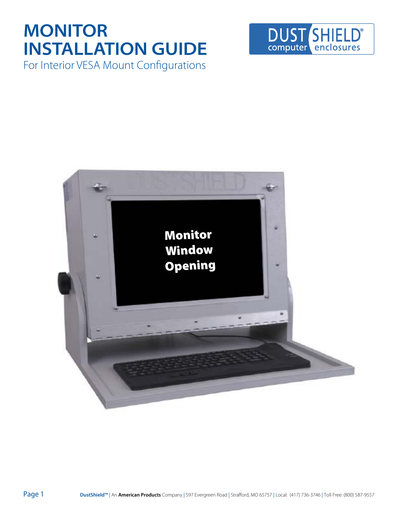### **MONITOR INSTALLATION GUIDE** For Interior VESA Mount Configurations



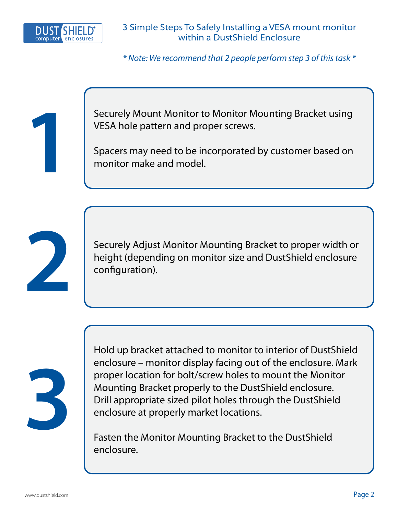

\* Note: We recommend that 2 people perform step 3 of this task \*

**1**

Securely Mount Monitor to Monitor Mounting Bracket using VESA hole pattern and proper screws.

Spacers may need to be incorporated by customer based on monitor make and model.



Securely Adjust Monitor Mounting Bracket to proper width or height (depending on monitor size and DustShield enclosure configuration).



Hold up bracket attached to monitor to interior of DustShield enclosure – monitor display facing out of the enclosure. Mark proper location for bolt/screw holes to mount the Monitor Mounting Bracket properly to the DustShield enclosure. Drill appropriate sized pilot holes through the DustShield enclosure at properly market locations.

Fasten the Monitor Mounting Bracket to the DustShield enclosure.